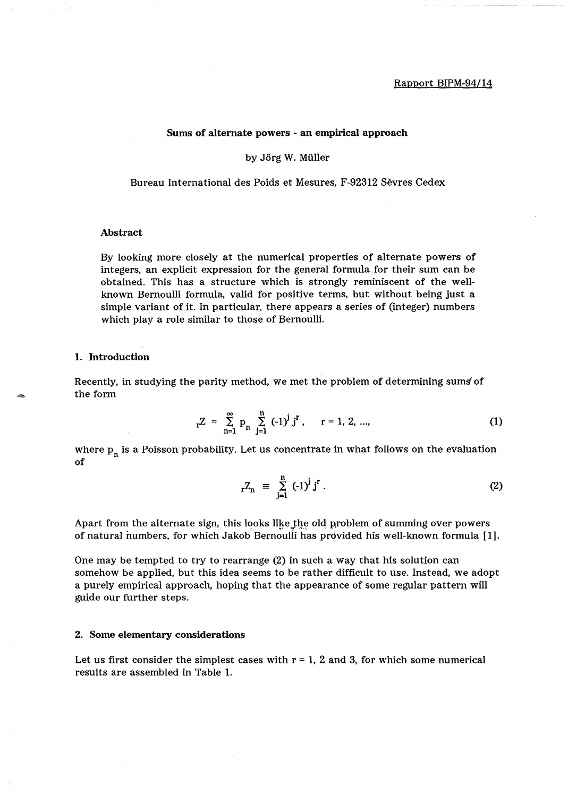## Sums of alternate powers - an empirical approach

### by Jörg W. Müller

Bureau International des Poids et Mesures, F-92312 Sevres Cedex

# Abstract

By looking more closely at the numerical properties of alternate powers of integers, an explicit expression for the general formula for their sum can be obtained. This has a structure which is strongly reminiscent of the wellknown Bernoulli formula, valid for positive terms, but without being just a simple variant of it. In particular, there appears a series of (integer) numbers which play a role similar to those of Bernoulli.

### 1. Introduction

Recently, in studying the parity method, we met the problem of determining sums" of the form

$$
{}_{r}Z = \sum_{n=1}^{\infty} p_{n} \sum_{j=1}^{n} (-1)^{j} j^{r}, \quad r = 1, 2, ..., \quad (1)
$$

where  $p_n$  is a Poisson probability. Let us concentrate in what follows on the evaluation of

$$
{}_{r}Z_{n} \equiv \sum_{j=1}^{n} (-1)^{j} j^{r} . \tag{2}
$$

Apart from the alternate sign, this looks like the old problem of summing over powers of natural numbers, for which Jakob Bernoulli has provided his well-known formula  $[1]$ .

One may be tempted to try to rearrange (2) in such a way that his solution can somehow be applied, but this idea seems to be rather difficult to use. Instead, we adopt a purely empirical approach, hoping that the appearance of some regular pattern will guide our further steps.

### 2. Some elementary considerations

Let us first consider the simplest cases with  $r = 1$ , 2 and 3, for which some numerical results are assembled in Table 1.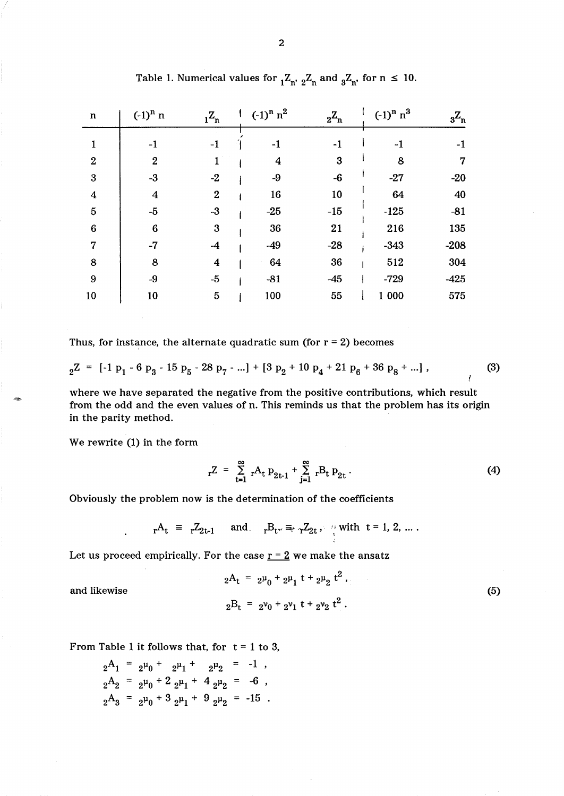| $\mathbf n$      | $(-1)^n$ n       | $1^{\mathbf{Z}_{\mathbf{n}}}$ | $(-1)^n n^2$ | $2^{\mathbf{Z_n}}$ | $(-1)^n n^3$ | $3^{\mathbf{Z}_{\mathbf{n}}}$ |
|------------------|------------------|-------------------------------|--------------|--------------------|--------------|-------------------------------|
|                  | $-1$             | -1                            | - 1          | -1                 | -1           | -1                            |
| $\boldsymbol{2}$ | $\boldsymbol{2}$ |                               | 4            | 3                  | 8            | 7                             |
| $\boldsymbol{3}$ | $-3$             | $-2$                          | $-9$         | $-6$               | $-27$        | $-20$                         |
| $\boldsymbol{4}$ | $\boldsymbol{4}$ | $\boldsymbol{2}$              | 16           | 10                 | 64           | 40                            |
| $\overline{5}$   | $-5$             | $-3$                          | $-25$        | $-15$              | $-125$       | $-81$                         |
| $6\phantom{1}6$  | $6\phantom{1}6$  | 3                             | 36           | 21                 | 216          | 135                           |
| $\overline{7}$   | $-7$             | $-4$                          | $-49$        | $-28$              | $-343$       | $-208$                        |
| 8                | 8                | $\overline{\mathbf{4}}$       | 64           | 36                 | 512          | 304                           |
| $\boldsymbol{9}$ | $-9$             | $-5$                          | $-81$        | $-45$              | $-729$       | $-425$                        |
| 10               | 10               | $\overline{5}$                | 100          | 55                 | 1 000        | 575                           |

Table 1. Numerical values for  ${}_{1}Z_{n'}$ ,  ${}_{2}Z_{n}$  and  ${}_{3}Z_{n'}$ , for  $n \leq 10$ .

Thus, for instance, the alternate quadratic sum (for  $r = 2$ ) becomes

$$
{}_{2}Z = [-1 \, p_{1} - 6 \, p_{3} - 15 \, p_{5} - 28 \, p_{7} - ...] + [3 \, p_{2} + 10 \, p_{4} + 21 \, p_{6} + 36 \, p_{8} + ...], \tag{3}
$$

where we have separated the negative from the positive contributions, which result from the odd and the even values of n. This reminds us that the problem has its origin in the parity method.

We rewrite (1) in the form

 $\ddot{\phantom{a}}$ 

 $_{\rm r}Z = \sum_{\rm t=1}^{\infty} {}_{\rm r}A_{\rm t} p_{\rm 2t-1} + \sum_{\rm j=1}^{\infty} {}_{\rm r}B_{\rm t} p_{\rm 2t}$ . (4)

Obviously the problem now is the determination of the coefficients

$$
{}_{r}A_{t} \ \equiv \ \ _{r}Z_{2t-1} \quad \ \ \text{and} \quad \ \ _{r}B_{t^{\nu}} \equiv_{r} \ _{r}Z_{2t} \ , \quad \ \ \, \underset{\iota}{\cdot} \ \ \text{with} \ \ t=1, \ 2, \ \ldots \ .
$$

Let us proceed empirically. For the case  $r = 2$  we make the ansatz

$$
{}_{2}A_{t} = {}_{2}\mu_{0} + {}_{2}\mu_{1} t + {}_{2}\mu_{2} t^{2},
$$
  
\n
$$
{}_{2}B_{t} = {}_{2}\nu_{0} + {}_{2}\nu_{1} t + {}_{2}\nu_{2} t^{2}.
$$
\n(5)

and likewise

-

From Table 1 it follows that, for  $t = 1$  to 3,

$$
2^{A_1} = 2^{\mu_0} + 2^{\mu_1} + 2^{\mu_2} = -1,
$$
  
\n
$$
2^{A_2} = 2^{\mu_0} + 2 2^{\mu_1} + 4 2^{\mu_2} = -6,
$$
  
\n
$$
2^{A_3} = 2^{\mu_0} + 3 2^{\mu_1} + 9 2^{\mu_2} = -15.
$$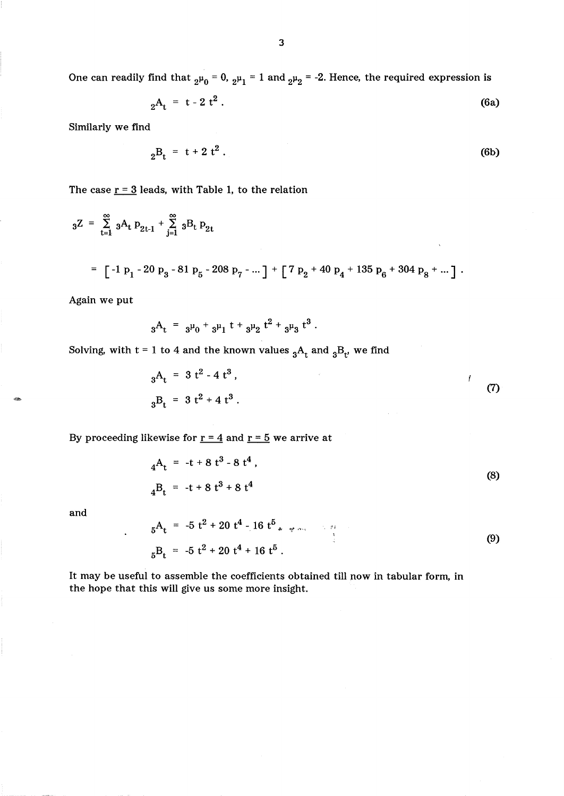$$
{}_{2}A_{t} = t - 2 t^{2}. \tag{6a}
$$

Similarly we find

$$
{}_{2}B_{t} = t + 2 t^{2}. \tag{6b}
$$

The case  $r = 3$  leads, with Table 1, to the relation

$$
{}_{3}Z = \sum_{t=1}^{\infty} {}_{3}A_{t} p_{2t-1} + \sum_{j=1}^{\infty} {}_{3}B_{t} p_{2t}
$$
  
=  $\left[ -1 p_{1} - 20 p_{3} - 81 p_{5} - 208 p_{7} - \dots \right] + \left[ 7 p_{2} + 40 p_{4} + 135 p_{6} + 304 p_{8} + \dots \right].$ 

Again we put

$$
{}_{3}A_{t} = {}_{3}\mu_{0} + {}_{3}\mu_{1} t + {}_{3}\mu_{2} t^{2} + {}_{3}\mu_{3} t^{3}.
$$

Solving, with  $t = 1$  to 4 and the known values  ${}_{3}A_{t}$  and  ${}_{3}B_{t'}$  we find

$$
{}_{3}A_{t} = 3 t^{2} - 4 t^{3},
$$
  
\n
$$
{}_{3}B_{t} = 3 t^{2} + 4 t^{3}.
$$
\n(7)

By proceeding likewise for  $r = 4$  and  $r = 5$  we arrive at

$$
{}_{4}A_{t} = -t + 8 t^{3} - 8 t^{4},
$$
  
\n
$$
{}_{4}B_{t} = -t + 8 t^{3} + 8 t^{4}
$$
\n(8)

and

-

5 At = -5 t <sup>2</sup>+ 20 t 4 - 16 t <sup>5</sup>, ;li " "',1' , .... , <sup>5</sup>Bt = -5 t <sup>2</sup>+ 20 t4 + 16 t 5 . (9)

It may be useful to assemble the coefficients obtained till now in tabular form, in the hope that this will give us some more insight.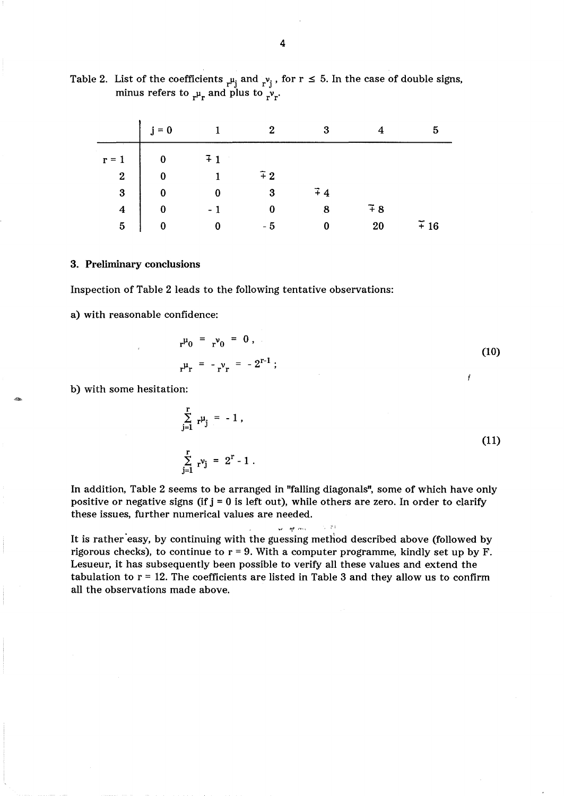| Table 2. List of the coefficients $\mu_i$ and $\nu_i$ , for $r \le 5$ . In the case of double signs, |
|------------------------------------------------------------------------------------------------------|
| minus refers to $\mu_r$ and plus to $\nu_r$ .                                                        |
|                                                                                                      |

|                         | $i = 0$  |                 | 2            | 3                |                 | 5                  |
|-------------------------|----------|-----------------|--------------|------------------|-----------------|--------------------|
| $r = 1$                 | $\bf{0}$ | $\overline{+1}$ |              |                  |                 |                    |
| $\overline{\mathbf{2}}$ | $\bf{0}$ |                 | $\tilde{+}2$ |                  |                 |                    |
| $\overline{\mathbf{3}}$ | $\bf{0}$ |                 | 3            | $\overline{+}$ 4 |                 |                    |
| $\overline{\mathbf{4}}$ | $\bf{0}$ |                 |              | 8                | $\overline{4}8$ |                    |
| 5                       | 0        |                 | - 5          |                  | 20              | $\widetilde{+}$ 16 |

3. Preliminary conclusions

Inspection of Table 2 leads to the following tentative observations:

a) with reasonable confidence:

$$
{}_{r} \mu_{0} = {}_{r} \nu_{0} = 0, \qquad (10)
$$
\n
$$
{}_{r} \mu_{r} = -{}_{r} \nu_{r} = -2^{r-1}; \qquad (11)
$$

b) with some hesitation:

$$
\sum_{j=1}^{r} r^{\mu} j = -1,
$$
\n
$$
\sum_{i=1}^{r} r^{\nu} j = 2^{r} - 1.
$$
\n(11)

In addition, Table 2 seems to be arranged in "falling diagonals", some of which have only positive or negative signs (if  $j = 0$  is left out), while others are zero. In order to clarify these issues, further numerical values are needed.

"'; *IJf,.I'* , •• , ,

It is rather 'easy, by continuing with the guessing method described above (followed by rigorous checks), to continue to  $r = 9$ . With a computer programme, kindly set up by F. Lesueur, it has subsequently been possible to verify all these values and extend the tabulation to  $r = 12$ . The coefficients are listed in Table 3 and they allow us to confirm all the observations made above.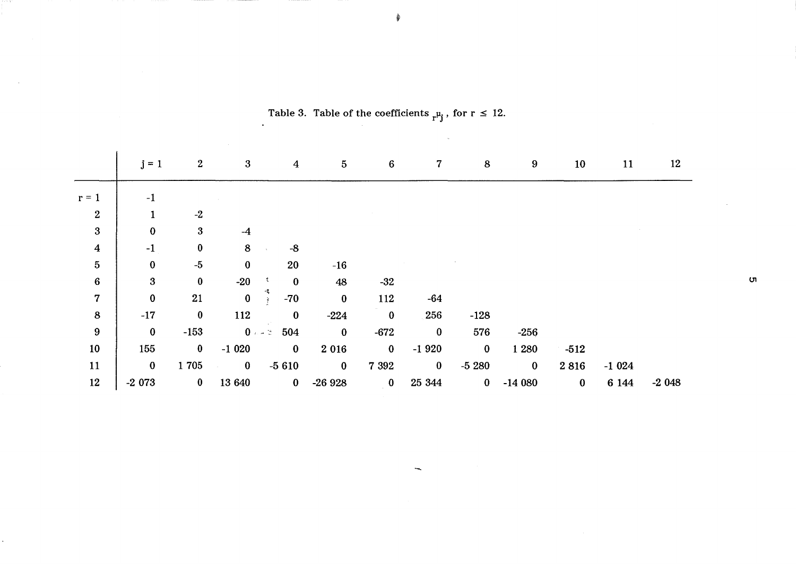|                  | $j = 1$          | $\boldsymbol{2}$ | $\mathbf{3}$ | $\boldsymbol{4}$       | $\overline{5}$ | $\bf 6$                 | 7 <sup>1</sup> | 8        | $\boldsymbol{9}$ | 10       | 11      | 12      |
|------------------|------------------|------------------|--------------|------------------------|----------------|-------------------------|----------------|----------|------------------|----------|---------|---------|
| $r = 1$          | $-1$             |                  |              |                        |                |                         |                |          |                  |          |         |         |
| $\boldsymbol{2}$ |                  | $-2$             |              |                        |                |                         |                |          |                  |          |         |         |
| $\boldsymbol{3}$ | $\bf{0}$         | $\boldsymbol{3}$ | $-4$         |                        |                |                         |                |          |                  |          |         |         |
| $\boldsymbol{4}$ | $-1$             | $\bf{0}$         | 8            | $-8$                   |                |                         |                |          |                  |          |         |         |
| $\overline{5}$   | $\bf{0}$         | $-5$             | $\bf{0}$     | 20                     | $-16$          |                         |                |          |                  |          |         |         |
| $\bf{6}$         | $\boldsymbol{3}$ | $\bf{0}$         | $-20$        | $\bf{0}$<br>÷          | 48             | $-32$                   |                |          |                  |          |         |         |
| $\overline{7}$   | $\bf{0}$         | 21               | $\bf{0}$     | $-70$<br>$\mathcal{R}$ | $\bf{0}$       | 112                     | $-64$          |          |                  |          |         |         |
| 8                | $-17$            | $\bf{0}$         | 112          | $\bf{0}$               | $-224$         | $\bf{0}$                | 256            | $-128$   |                  |          |         |         |
| $9\phantom{.0}$  | $\bf{0}$         | $-153$           |              | $0 - z = 504$          | $\bf{0}$       | $-672$                  | $\bf{0}$       | 576      | $-256$           |          |         |         |
| 10               | 155              | $\bf{0}$         | $-1020$      | $\bf{0}$               | 2 0 1 6        | $\bf{0}$                | $-1920$        | $\bf{0}$ | 1 2 8 0          | $-512$   |         |         |
| 11               | $\bf{0}$         | 1705             | $\bf{0}$     | $-5610$                | $\bf{0}$       | 7 3 9 2                 | $\bf{0}$       | $-5280$  | $\bf{0}$         | 2816     | $-1024$ |         |
| 12               | $-2073$          | $\bf{0}$         | 13 640       | $\bf{0}$               | $-26928$       | $\overline{\mathbf{0}}$ | 25 344         | $\bf{0}$ | $-14080$         | $\bf{0}$ | 6 144   | $-2048$ |

 $\overline{\phantom{a}}$ 

Table 3. Table of the coefficients  $r^{\mu}$  , for  $r \leq 12$ .

~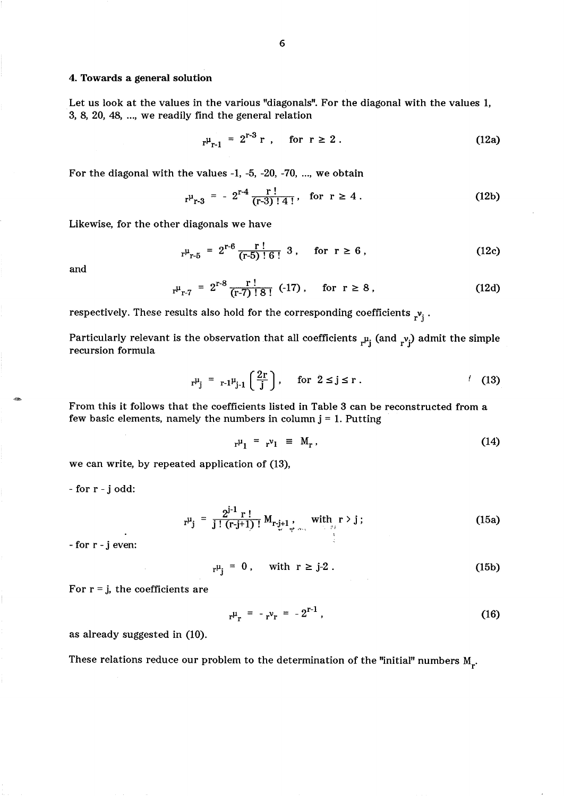# 4. Towards a general solution

Let us look at the values in the various "diagonals". For the diagonal with the values 1, 3, 8, 20, 48, ... , we readily find the general relation

$$
r^{\mu_{r-1}} = 2^{r-3} r
$$
, for  $r \ge 2$ . (12a)

For the diagonal with the values -1, -5, -20, -70, ... , we obtain

$$
r^{\mu}_{r-3} = -2^{r-4} \frac{r!}{(r-3)! \cdot 4!}
$$
, for  $r \ge 4$ . (12b)

Likewise, for the other diagonals we have

$$
r^{\mu}_{r-5} = 2^{r-6} \frac{r!}{(r-5)! \cdot 6!} 3
$$
, for  $r \ge 6$ , (12c)

and

$$
r^{\mu}_{r-7} = 2^{r-8} \frac{r!}{(r-7)! \cdot 8!} (-17), \quad \text{for } r \ge 8,
$$
 (12d)

respectively. These results also hold for the corresponding coefficients  $_{r}v_i$ .

Particularly relevant is the observation that all coefficients  $_{r}\mu_{j}$  (and  $_{r}\nu_{j}$ ) admit the simple recursion formula

$$
r^{\mu}j = r - 1^{\mu}j - 1\left(\frac{2r}{j}\right)
$$
, for  $2 \le j \le r$ . (13)

From this it follows that the coefficients listed in Table 3 can be reconstructed from a few basic elements, namely the numbers in column  $j = 1$ . Putting

$$
\mathbf{r}^{\mu}_{1} = \mathbf{r}^{\nu}_{1} \equiv \mathbf{M}_{\mathbf{r}} \,, \tag{14}
$$

we can write, by repeated application of (13),

- for r - j odd:

$$
r^{\mu}j = \frac{2^{j-1} r!}{j! (r-j+1)!} M_{r-j+1} M_{r-j+1} M_{r-j+1} (15a)
$$

- for r - j even:

$$
r^{\mu}_{j} = 0, \quad \text{with } r \ge j-2. \tag{15b}
$$

For  $r = j$ , the coefficients are

$$
r^{\mu}{}_{r} = -r^{\nu}{}_{r} = -2^{r-1} \tag{16}
$$

as already suggested in (10).

These relations reduce our problem to the determination of the "initial" numbers  $\boldsymbol{\tt{M_{r}.}}$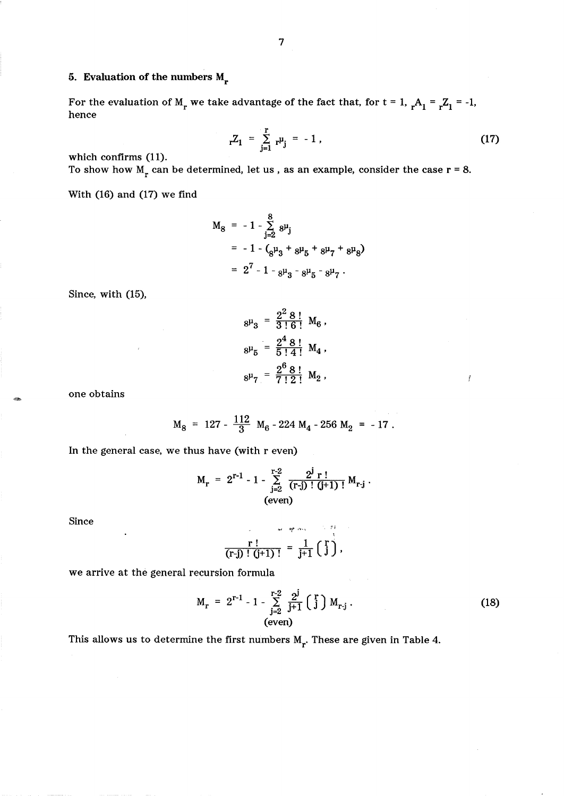# 5. Evaluation of the numbers  $M_r$

For the evaluation of  $M_r$  we take advantage of the fact that, for  $t = 1$ ,  ${}_{r}A_1 = {}_{r}Z_1 = -1$ , hence

$$
{}_{r}Z_{1} = \sum_{j=1}^{r} {}_{r} \mu_{j} = -1 , \qquad (17)
$$

 $\mathfrak{f}$ 

which confirms (11). To show how  $M_r$  can be determined, let us, as an example, consider the case  $r = 8$ .

With (16) and (17) we find

$$
M_8 = -1 - \sum_{j=2}^{8} 8^{\mu}j
$$
  
= -1 - (8^{\mu}3 + 8^{\mu}5 + 8^{\mu}7 + 8^{\mu}8)  
= 2<sup>7</sup> - 1 - 8^{\mu}3 - 8^{\mu}5 - 8^{\mu}7.

Since, with (15),

$$
8^{\mu}{}_{3} = \frac{2^{2} 8!}{3! 6!} M_{6},
$$
  
\n
$$
8^{\mu}{}_{5} = \frac{2^{4} 8!}{5! 4!} M_{4},
$$
  
\n
$$
8^{\mu}{}_{7} = \frac{2^{6} 8!}{7! 2!} M_{2},
$$

one obtains

$$
M_8 = 127 - \frac{112}{3} M_6 - 224 M_4 - 256 M_2 = -17.
$$

In the general case, we thus have (with r even)

$$
M_r = 2^{r-1} - 1 - \sum_{j=2}^{r-2} \frac{2^j r!}{(r-j)!(j+1)!} M_{r-j}.
$$
\n(even)

Since

$$
\frac{r!}{(r-j)!(j+1)!} = \frac{1}{j+1} {r \choose j},
$$

we arrive at the general recursion formula

$$
M_{r} = 2^{r-1} - 1 - \sum_{j=2}^{r-2} \frac{2^{j}}{j+1} \begin{pmatrix} r \\ j \end{pmatrix} M_{r-j}.
$$
 (18)

This allows us to determine the first numbers  $M_r$ . These are given in Table 4.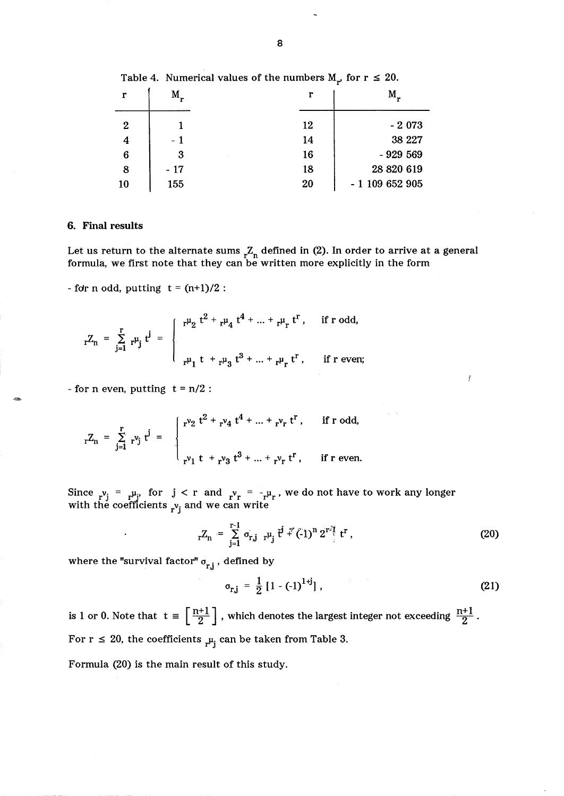| r                | M,    | r  | M.               |
|------------------|-------|----|------------------|
| $\boldsymbol{2}$ |       | 12 | $-2073$          |
| $\overline{A}$   | $-1$  | 14 | 38 227           |
| 6                | 3     | 16 | $-929569$        |
| 8                | $-17$ | 18 | 28 820 619       |
| 10               | 155   | 20 | $-1$ 109 652 905 |

Table 4. Numerical values of the numbers  $M_{r}$ , for  $r \leq 20$ .

# 6. Final results

-

Let us return to the alternate sums  ${}_{\mathsf{r}}Z_{\mathsf{n}}$  defined in (2). In order to arrive at a general formula, we first note that they can be written more explicitly in the form

- for n odd, putting  $t = (n+1)/2$ :

r n odd, putting 
$$
t = (n+1)/2
$$
:  
\n
$$
{}_{r}Z_{n} = \sum_{j=1}^{r} r^{\mu_{j}} t^{j} = \begin{cases} r^{\mu_{2}} t^{2} + r^{\mu_{4}} t^{4} + ... + r^{\mu_{r}} t^{r}, & \text{if } r \text{ odd,} \\ \vdots & \vdots \\ r^{\mu_{1}} t + r^{\mu_{3}} t^{3} + ... + r^{\mu_{r}} t^{r}, & \text{if } r \text{ even;} \end{cases}
$$

- for n even, putting  $t = n/2$ :

$$
{}_{r}Z_{n} = \sum_{j=1}^{r} {}_{r}v_{j} t^{j} = \begin{cases} {}_{r}v_{2} t^{2} + {}_{r}v_{4} t^{4} + ... + {}_{r}v_{r} t^{r}, & \text{if } r \text{ odd}, \\ {}_{r}v_{1} t + {}_{r}v_{3} t^{3} + ... + {}_{r}v_{r} t^{r}, & \text{if } r \text{ even}. \end{cases}
$$

Since  $r^{\nu}j = r^{\mu}j$ , for  $j < r$  and  $r^{\nu}r = -r^{\mu}r$ , we do not have to work any longer with the coefficients  $r_{\rm Vj}$  and we can write

and 
$$
r^v = -r^{\mu}r
$$
, we do not have to work any longer d we can write\n $rZ_n = \sum_{j=1}^{r-1} \sigma_{r,j} r^{\mu_j} t^j \cdot f^r (-1)^n 2^{r^j} t^r,$ \n(20)

where the "survival factor"  $\sigma_{r,j}$ , defined by

$$
\sigma_{r,j} = \frac{1}{2} [1 - (-1)^{1+j}], \qquad (21)
$$

f

is 1 or 0. Note that  $t \equiv \left\lceil \frac{n+1}{2} \right\rceil$  , which denotes the largest integer not exceeding  $\frac{n+1}{2}$ . For  $r \leq 20$ , the coefficients  $\mu_i$  can be taken from Table 3.

Formula (20) is the main result of this study.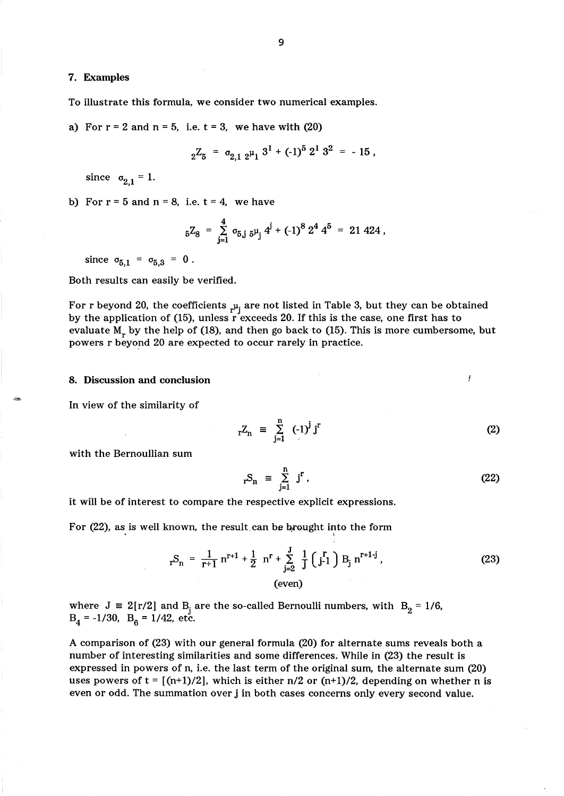# 7. Examples

To illustrate this formula, we consider two numerical examples.

a) For  $r = 2$  and  $n = 5$ , i.e.  $t = 3$ , we have with (20)

$$
{}_{2}Z_{5} = \sigma_{2,1} {}_{2} \mu_{1} {}^{3} + (-1)^{5} 2^{1} 3^{2} = -15,
$$

since  $\sigma_{2,1} = 1$ .

b) For  $r = 5$  and  $n = 8$ , i.e.  $t = 4$ , we have

$$
{}_5Z_8 = \sum_{j=1}^4 \sigma_{5,j} {}_{5} \mu_j 4^j + (-1)^8 2^4 4^5 = 21 424,
$$

since  $\sigma_{5,1} = \sigma_{5,3} = 0$ .

Both results can easily be verified.

For r beyond 20, the coefficients  $\mu_i$  are not listed in Table 3, but they can be obtained by the application of (15), unless r exceeds 20. If this is the case, one first has to evaluate  $M_r$  by the help of (18), and then go back to (15). This is more cumbersome, but powers r beyond 20 are expected to occur rarely in practice.

### 8. Discussion and conclusion

In view of the similarity of

$$
{}_{r}Z_{n} = \sum_{j=1}^{n} (-1)^{j} j^{r}
$$
 (2)

Í

with the Bernoullian sum

$$
{}_{\mathbf{r}}\mathbf{S}_n \equiv \sum_{j=1}^n j^r \,, \tag{22}
$$

it will be of interest to compare the respective explicit expressions.

For (22), as is well known, the result can be brought into the form

$$
{}_{r}S_{n} = \frac{1}{r+1} n^{r+1} + \frac{1}{2} n^{r} + \sum_{j=2}^{J} \frac{1}{j} \left( j-1 \right) B_{j} n^{r+1-j},
$$
\n(23)  
\n(even)

where  $J = 2[r/2]$  and  $B_j$  are the so-called Bernoulli numbers, with  $B_2 = 1/6$ ,  $B_4 = -1/30$ ,  $B_6 = 1/42$ , etc.

A comparison of (23) with our general formula (20) for alternate sums reveals both a number of interesting similarities and some differences. While in (23) the result is expressed in powers of n, i.e. the last term of the original sum, the alternate sum (20) uses powers of  $t = \lfloor (n+1)/2 \rfloor$ , which is either  $n/2$  or  $(n+1)/2$ , depending on whether n is even or odd. The summation over j in both cases concerns only every second value.